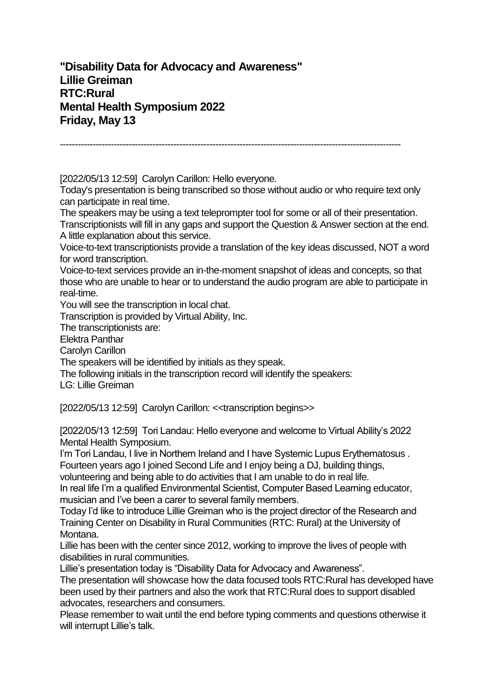**"Disability Data for Advocacy and Awareness" Lillie Greiman RTC:Rural Mental Health Symposium 2022 Friday, May 13**

------------------------------------------------------------------------------------------------------------------

[2022/05/13 12:59] Carolyn Carillon: Hello everyone.

Today's presentation is being transcribed so those without audio or who require text only can participate in real time.

The speakers may be using a text teleprompter tool for some or all of their presentation. Transcriptionists will fill in any gaps and support the Question & Answer section at the end. A little explanation about this service.

Voice-to-text transcriptionists provide a translation of the key ideas discussed, NOT a word for word transcription.

Voice-to-text services provide an in-the-moment snapshot of ideas and concepts, so that those who are unable to hear or to understand the audio program are able to participate in real-time.

You will see the transcription in local chat.

Transcription is provided by Virtual Ability, Inc.

The transcriptionists are:

Elektra Panthar

Carolyn Carillon

The speakers will be identified by initials as they speak.

The following initials in the transcription record will identify the speakers:

LG: Lillie Greiman

[2022/05/13 12:59] Carolyn Carillon: <<transcription begins>>

[2022/05/13 12:59] Tori Landau: Hello everyone and welcome to Virtual Ability's 2022 Mental Health Symposium.

I'm Tori Landau, I live in Northern Ireland and I have Systemic Lupus Erythematosus. Fourteen years ago I joined Second Life and I enjoy being a DJ, building things,

volunteering and being able to do activities that I am unable to do in real life.

In real life I'm a qualified Environmental Scientist, Computer Based Learning educator, musician and I've been a carer to several family members.

Today I'd like to introduce Lillie Greiman who is the project director of the Research and Training Center on Disability in Rural Communities (RTC: Rural) at the University of Montana.

Lillie has been with the center since 2012, working to improve the lives of people with disabilities in rural communities.

Lillie's presentation today is "Disability Data for Advocacy and Awareness".

The presentation will showcase how the data focused tools RTC:Rural has developed have been used by their partners and also the work that RTC:Rural does to support disabled advocates, researchers and consumers.

Please remember to wait until the end before typing comments and questions otherwise it will interrupt Lillie's talk.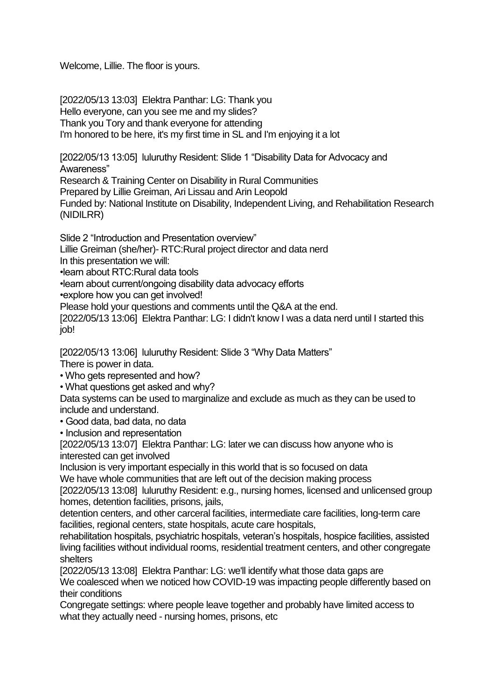Welcome, Lillie. The floor is yours.

[2022/05/13 13:03] Elektra Panthar: LG: Thank you Hello everyone, can you see me and my slides? Thank you Tory and thank everyone for attending I'm honored to be here, it's my first time in SL and I'm enjoying it a lot

[2022/05/13 13:05] luluruthy Resident: Slide 1 "Disability Data for Advocacy and Awareness" Research & Training Center on Disability in Rural Communities Prepared by Lillie Greiman, Ari Lissau and Arin Leopold Funded by: National Institute on Disability, Independent Living, and Rehabilitation Research

(NIDILRR)

Slide 2 "Introduction and Presentation overview"

Lillie Greiman (she/her)- RTC:Rural project director and data nerd

In this presentation we will:

•learn about RTC:Rural data tools

•learn about current/ongoing disability data advocacy efforts

•explore how you can get involved!

Please hold your questions and comments until the Q&A at the end.

[2022/05/13 13:06] Elektra Panthar: LG: I didn't know I was a data nerd until I started this job!

[2022/05/13 13:06] luluruthy Resident: Slide 3 "Why Data Matters"

There is power in data.

• Who gets represented and how?

• What questions get asked and why?

Data systems can be used to marginalize and exclude as much as they can be used to include and understand.

• Good data, bad data, no data

• Inclusion and representation

[2022/05/13 13:07] Elektra Panthar: LG: later we can discuss how anyone who is interested can get involved

Inclusion is very important especially in this world that is so focused on data We have whole communities that are left out of the decision making process

[2022/05/13 13:08] luluruthy Resident: e.g., nursing homes, licensed and unlicensed group homes, detention facilities, prisons, jails,

detention centers, and other carceral facilities, intermediate care facilities, long-term care facilities, regional centers, state hospitals, acute care hospitals,

rehabilitation hospitals, psychiatric hospitals, veteran's hospitals, hospice facilities, assisted living facilities without individual rooms, residential treatment centers, and other congregate shelters

[2022/05/13 13:08] Elektra Panthar: LG: we'll identify what those data gaps are

We coalesced when we noticed how COVID-19 was impacting people differently based on their conditions

Congregate settings: where people leave together and probably have limited access to what they actually need - nursing homes, prisons, etc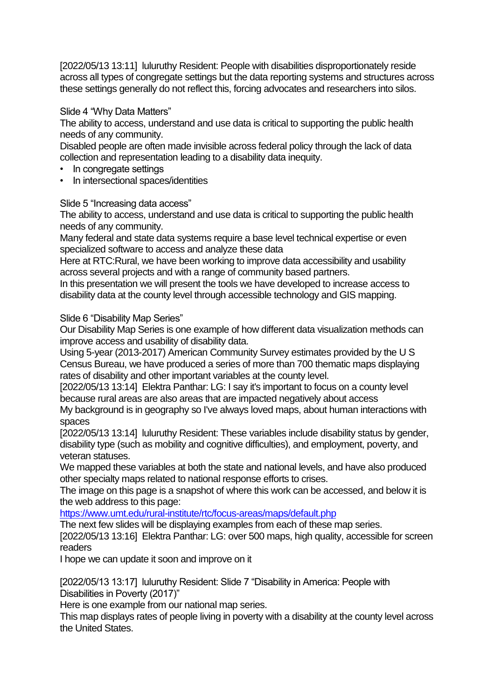[2022/05/13 13:11] luluruthy Resident: People with disabilities disproportionately reside across all types of congregate settings but the data reporting systems and structures across these settings generally do not reflect this, forcing advocates and researchers into silos.

## Slide 4 "Why Data Matters"

The ability to access, understand and use data is critical to supporting the public health needs of any community.

Disabled people are often made invisible across federal policy through the lack of data collection and representation leading to a disability data inequity.

- In congregate settings
- In intersectional spaces/identities

Slide 5 "Increasing data access"

The ability to access, understand and use data is critical to supporting the public health needs of any community.

Many federal and state data systems require a base level technical expertise or even specialized software to access and analyze these data

Here at RTC:Rural, we have been working to improve data accessibility and usability across several projects and with a range of community based partners.

In this presentation we will present the tools we have developed to increase access to disability data at the county level through accessible technology and GIS mapping.

Slide 6 "Disability Map Series"

Our Disability Map Series is one example of how different data visualization methods can improve access and usability of disability data.

Using 5-year (2013-2017) American Community Survey estimates provided by the U S Census Bureau, we have produced a series of more than 700 thematic maps displaying rates of disability and other important variables at the county level.

[2022/05/13 13:14] Elektra Panthar: LG: I say it's important to focus on a county level because rural areas are also areas that are impacted negatively about access

My background is in geography so I've always loved maps, about human interactions with spaces

[2022/05/13 13:14] luluruthy Resident: These variables include disability status by gender, disability type (such as mobility and cognitive difficulties), and employment, poverty, and veteran statuses.

We mapped these variables at both the state and national levels, and have also produced other specialty maps related to national response efforts to crises.

The image on this page is a snapshot of where this work can be accessed, and below it is the web address to this page:

<https://www.umt.edu/rural-institute/rtc/focus-areas/maps/default.php>

The next few slides will be displaying examples from each of these map series.

[2022/05/13 13:16] Elektra Panthar: LG: over 500 maps, high quality, accessible for screen readers

I hope we can update it soon and improve on it

[2022/05/13 13:17] luluruthy Resident: Slide 7 "Disability in America: People with Disabilities in Poverty (2017)"

Here is one example from our national map series.

This map displays rates of people living in poverty with a disability at the county level across the United States.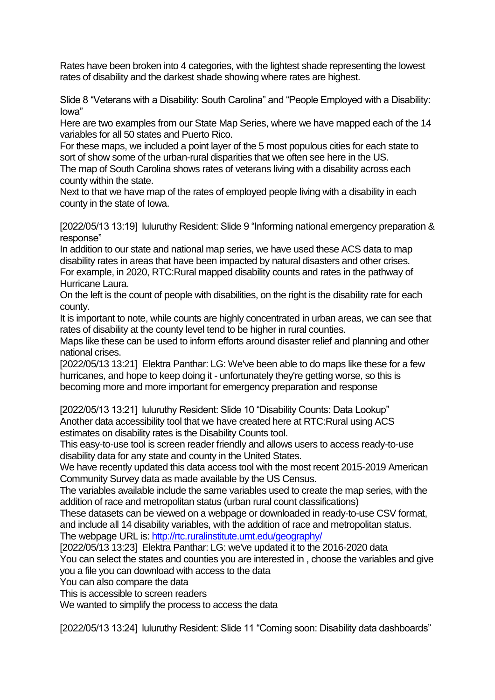Rates have been broken into 4 categories, with the lightest shade representing the lowest rates of disability and the darkest shade showing where rates are highest.

Slide 8 "Veterans with a Disability: South Carolina" and "People Employed with a Disability: Iowa"

Here are two examples from our State Map Series, where we have mapped each of the 14 variables for all 50 states and Puerto Rico.

For these maps, we included a point layer of the 5 most populous cities for each state to sort of show some of the urban-rural disparities that we often see here in the US.

The map of South Carolina shows rates of veterans living with a disability across each county within the state.

Next to that we have map of the rates of employed people living with a disability in each county in the state of Iowa.

[2022/05/13 13:19] luluruthy Resident: Slide 9 "Informing national emergency preparation & response"

In addition to our state and national map series, we have used these ACS data to map disability rates in areas that have been impacted by natural disasters and other crises. For example, in 2020, RTC:Rural mapped disability counts and rates in the pathway of Hurricane Laura.

On the left is the count of people with disabilities, on the right is the disability rate for each county.

It is important to note, while counts are highly concentrated in urban areas, we can see that rates of disability at the county level tend to be higher in rural counties.

Maps like these can be used to inform efforts around disaster relief and planning and other national crises.

[2022/05/13 13:21] Elektra Panthar: LG: We've been able to do maps like these for a few hurricanes, and hope to keep doing it - unfortunately they're getting worse, so this is becoming more and more important for emergency preparation and response

[2022/05/13 13:21] luluruthy Resident: Slide 10 "Disability Counts: Data Lookup" Another data accessibility tool that we have created here at RTC:Rural using ACS estimates on disability rates is the Disability Counts tool.

This easy-to-use tool is screen reader friendly and allows users to access ready-to-use disability data for any state and county in the United States.

We have recently updated this data access tool with the most recent 2015-2019 American Community Survey data as made available by the US Census.

The variables available include the same variables used to create the map series, with the addition of race and metropolitan status (urban rural count classifications)

These datasets can be viewed on a webpage or downloaded in ready-to-use CSV format, and include all 14 disability variables, with the addition of race and metropolitan status.

The webpage URL is[: http://rtc.ruralinstitute.umt.edu/geography/](http://rtc.ruralinstitute.umt.edu/geography/)

[2022/05/13 13:23] Elektra Panthar: LG: we've updated it to the 2016-2020 data

You can select the states and counties you are interested in , choose the variables and give you a file you can download with access to the data

You can also compare the data

This is accessible to screen readers

We wanted to simplify the process to access the data

[2022/05/13 13:24] luluruthy Resident: Slide 11 "Coming soon: Disability data dashboards"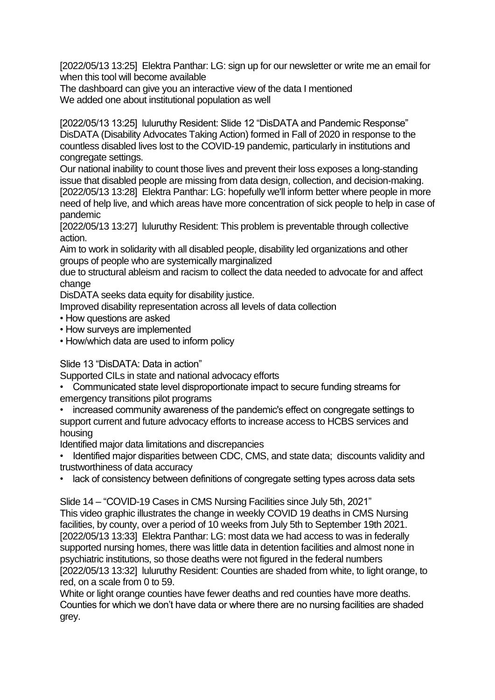[2022/05/13 13:25] Elektra Panthar: LG: sign up for our newsletter or write me an email for when this tool will become available

The dashboard can give you an interactive view of the data I mentioned We added one about institutional population as well

[2022/05/13 13:25] luluruthy Resident: Slide 12 "DisDATA and Pandemic Response" DisDATA (Disability Advocates Taking Action) formed in Fall of 2020 in response to the countless disabled lives lost to the COVID-19 pandemic, particularly in institutions and congregate settings.

Our national inability to count those lives and prevent their loss exposes a long-standing issue that disabled people are missing from data design, collection, and decision-making. [2022/05/13 13:28] Elektra Panthar: LG: hopefully we'll inform better where people in more need of help live, and which areas have more concentration of sick people to help in case of pandemic

[2022/05/13 13:27] luluruthy Resident: This problem is preventable through collective action.

Aim to work in solidarity with all disabled people, disability led organizations and other groups of people who are systemically marginalized

due to structural ableism and racism to collect the data needed to advocate for and affect change

DisDATA seeks data equity for disability justice.

Improved disability representation across all levels of data collection

- How questions are asked
- How surveys are implemented
- How/which data are used to inform policy

Slide 13 "DisDATA: Data in action"

Supported CILs in state and national advocacy efforts

• Communicated state level disproportionate impact to secure funding streams for emergency transitions pilot programs

• increased community awareness of the pandemic's effect on congregate settings to support current and future advocacy efforts to increase access to HCBS services and housing

Identified major data limitations and discrepancies

- Identified major disparities between CDC, CMS, and state data; discounts validity and trustworthiness of data accuracy
- lack of consistency between definitions of congregate setting types across data sets

Slide 14 – "COVID-19 Cases in CMS Nursing Facilities since July 5th, 2021" This video graphic illustrates the change in weekly COVID 19 deaths in CMS Nursing facilities, by county, over a period of 10 weeks from July 5th to September 19th 2021. [2022/05/13 13:33] Elektra Panthar: LG: most data we had access to was in federally supported nursing homes, there was little data in detention facilities and almost none in psychiatric institutions, so those deaths were not figured in the federal numbers [2022/05/13 13:32] luluruthy Resident: Counties are shaded from white, to light orange, to red, on a scale from 0 to 59.

White or light orange counties have fewer deaths and red counties have more deaths. Counties for which we don't have data or where there are no nursing facilities are shaded grey.